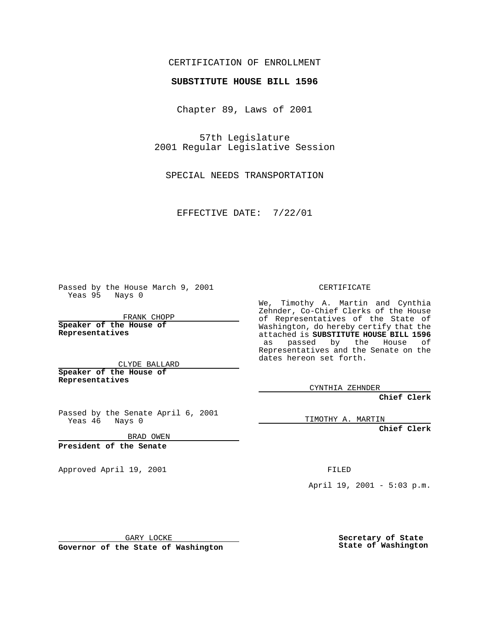CERTIFICATION OF ENROLLMENT

## **SUBSTITUTE HOUSE BILL 1596**

Chapter 89, Laws of 2001

57th Legislature 2001 Regular Legislative Session

SPECIAL NEEDS TRANSPORTATION

EFFECTIVE DATE: 7/22/01

Passed by the House March 9, 2001 Yeas 95 Nays 0

FRANK CHOPP

**Speaker of the House of Representatives**

CLYDE BALLARD **Speaker of the House of**

**Representatives**

Passed by the Senate April 6, 2001 Yeas 46 Nays 0

BRAD OWEN

**President of the Senate**

Approved April 19, 2001 FILED

CERTIFICATE

We, Timothy A. Martin and Cynthia Zehnder, Co-Chief Clerks of the House of Representatives of the State of Washington, do hereby certify that the attached is **SUBSTITUTE HOUSE BILL 1596** as passed by the House of Representatives and the Senate on the dates hereon set forth.

CYNTHIA ZEHNDER

**Chief Clerk**

TIMOTHY A. MARTIN

**Chief Clerk**

April 19, 2001 - 5:03 p.m.

GARY LOCKE

**Governor of the State of Washington**

**Secretary of State State of Washington**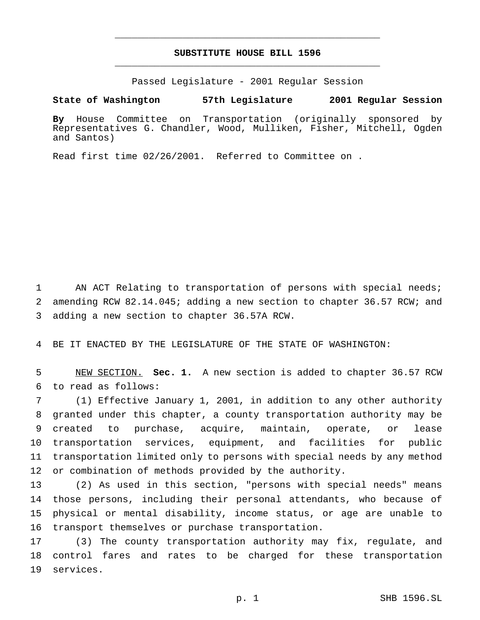## **SUBSTITUTE HOUSE BILL 1596** \_\_\_\_\_\_\_\_\_\_\_\_\_\_\_\_\_\_\_\_\_\_\_\_\_\_\_\_\_\_\_\_\_\_\_\_\_\_\_\_\_\_\_\_\_\_\_

\_\_\_\_\_\_\_\_\_\_\_\_\_\_\_\_\_\_\_\_\_\_\_\_\_\_\_\_\_\_\_\_\_\_\_\_\_\_\_\_\_\_\_\_\_\_\_

Passed Legislature - 2001 Regular Session

**State of Washington 57th Legislature 2001 Regular Session**

**By** House Committee on Transportation (originally sponsored by Representatives G. Chandler, Wood, Mulliken, Fisher, Mitchell, Ogden and Santos)

Read first time 02/26/2001. Referred to Committee on .

 AN ACT Relating to transportation of persons with special needs; amending RCW 82.14.045; adding a new section to chapter 36.57 RCW; and adding a new section to chapter 36.57A RCW.

BE IT ENACTED BY THE LEGISLATURE OF THE STATE OF WASHINGTON:

 NEW SECTION. **Sec. 1.** A new section is added to chapter 36.57 RCW to read as follows:

 (1) Effective January 1, 2001, in addition to any other authority granted under this chapter, a county transportation authority may be created to purchase, acquire, maintain, operate, or lease transportation services, equipment, and facilities for public transportation limited only to persons with special needs by any method or combination of methods provided by the authority.

 (2) As used in this section, "persons with special needs" means those persons, including their personal attendants, who because of physical or mental disability, income status, or age are unable to transport themselves or purchase transportation.

 (3) The county transportation authority may fix, regulate, and control fares and rates to be charged for these transportation services.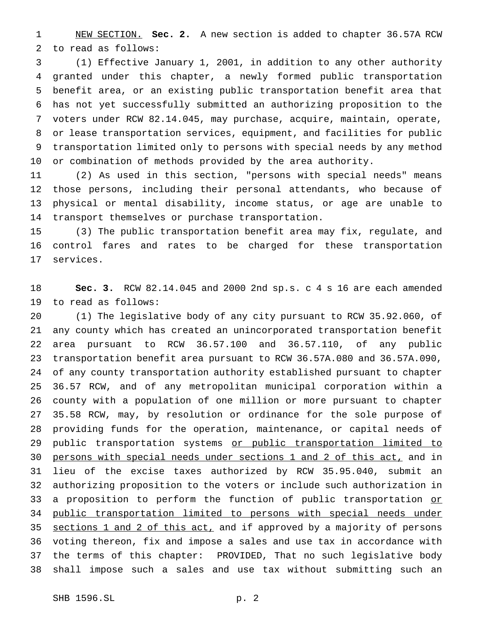NEW SECTION. **Sec. 2.** A new section is added to chapter 36.57A RCW to read as follows:

 (1) Effective January 1, 2001, in addition to any other authority granted under this chapter, a newly formed public transportation benefit area, or an existing public transportation benefit area that has not yet successfully submitted an authorizing proposition to the voters under RCW 82.14.045, may purchase, acquire, maintain, operate, or lease transportation services, equipment, and facilities for public transportation limited only to persons with special needs by any method or combination of methods provided by the area authority.

 (2) As used in this section, "persons with special needs" means those persons, including their personal attendants, who because of physical or mental disability, income status, or age are unable to transport themselves or purchase transportation.

 (3) The public transportation benefit area may fix, regulate, and control fares and rates to be charged for these transportation services.

 **Sec. 3.** RCW 82.14.045 and 2000 2nd sp.s. c 4 s 16 are each amended to read as follows:

 (1) The legislative body of any city pursuant to RCW 35.92.060, of any county which has created an unincorporated transportation benefit area pursuant to RCW 36.57.100 and 36.57.110, of any public transportation benefit area pursuant to RCW 36.57A.080 and 36.57A.090, of any county transportation authority established pursuant to chapter 36.57 RCW, and of any metropolitan municipal corporation within a county with a population of one million or more pursuant to chapter 35.58 RCW, may, by resolution or ordinance for the sole purpose of providing funds for the operation, maintenance, or capital needs of 29 public transportation systems or public transportation limited to persons with special needs under sections 1 and 2 of this act, and in lieu of the excise taxes authorized by RCW 35.95.040, submit an authorizing proposition to the voters or include such authorization in 33 a proposition to perform the function of public transportation or public transportation limited to persons with special needs under 35 sections 1 and 2 of this act, and if approved by a majority of persons voting thereon, fix and impose a sales and use tax in accordance with the terms of this chapter: PROVIDED, That no such legislative body shall impose such a sales and use tax without submitting such an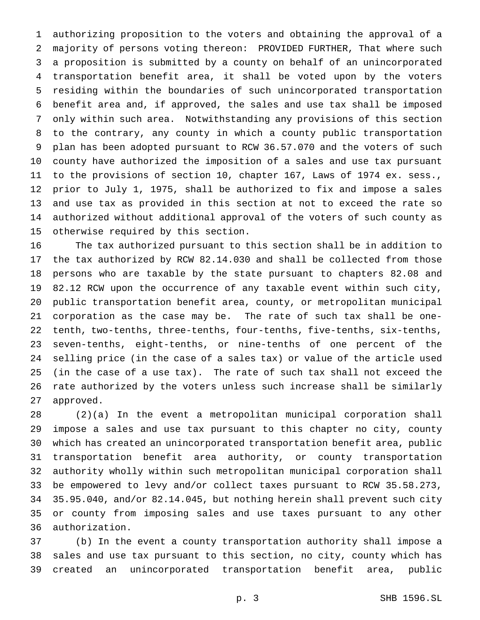authorizing proposition to the voters and obtaining the approval of a majority of persons voting thereon: PROVIDED FURTHER, That where such a proposition is submitted by a county on behalf of an unincorporated transportation benefit area, it shall be voted upon by the voters residing within the boundaries of such unincorporated transportation benefit area and, if approved, the sales and use tax shall be imposed only within such area. Notwithstanding any provisions of this section to the contrary, any county in which a county public transportation plan has been adopted pursuant to RCW 36.57.070 and the voters of such county have authorized the imposition of a sales and use tax pursuant to the provisions of section 10, chapter 167, Laws of 1974 ex. sess., prior to July 1, 1975, shall be authorized to fix and impose a sales and use tax as provided in this section at not to exceed the rate so authorized without additional approval of the voters of such county as otherwise required by this section.

 The tax authorized pursuant to this section shall be in addition to the tax authorized by RCW 82.14.030 and shall be collected from those persons who are taxable by the state pursuant to chapters 82.08 and 82.12 RCW upon the occurrence of any taxable event within such city, public transportation benefit area, county, or metropolitan municipal corporation as the case may be. The rate of such tax shall be one- tenth, two-tenths, three-tenths, four-tenths, five-tenths, six-tenths, seven-tenths, eight-tenths, or nine-tenths of one percent of the selling price (in the case of a sales tax) or value of the article used (in the case of a use tax). The rate of such tax shall not exceed the rate authorized by the voters unless such increase shall be similarly approved.

 (2)(a) In the event a metropolitan municipal corporation shall impose a sales and use tax pursuant to this chapter no city, county which has created an unincorporated transportation benefit area, public transportation benefit area authority, or county transportation authority wholly within such metropolitan municipal corporation shall be empowered to levy and/or collect taxes pursuant to RCW 35.58.273, 35.95.040, and/or 82.14.045, but nothing herein shall prevent such city or county from imposing sales and use taxes pursuant to any other authorization.

 (b) In the event a county transportation authority shall impose a sales and use tax pursuant to this section, no city, county which has created an unincorporated transportation benefit area, public